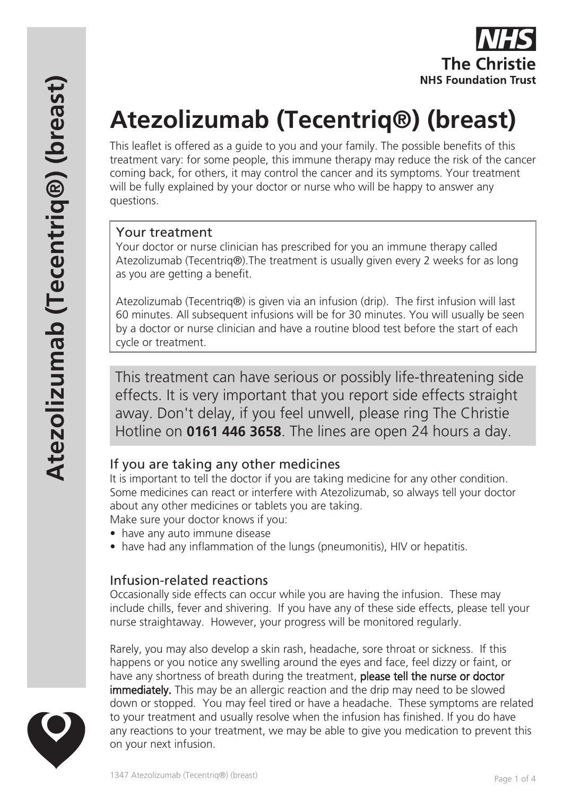

# **Atezolizumab (Tecentriq®) (breast)**

This leaflet is offered as a guide to you and your family. The possible benefits of this treatment vary: for some people, this immune therapy may reduce the risk of the cancer coming back, for others, it may control the cancer and its symptoms. Your treatment will be fully explained by your doctor or nurse who will be happy to answer any questions.

#### Your treatment

Your doctor or nurse clinician has prescribed for you an immune therapy called Atezolizumab (Tecentriq®).The treatment is usually given every 2 weeks for as long as you are getting a benefit.

Atezolizumab (Tecentriq®) is given via an infusion (drip). The first infusion will last 60 minutes. All subsequent infusions will be for 30 minutes. You will usually be seen by a doctor or nurse clinician and have a routine blood test before the start of each cycle or treatment.

This treatment can have serious or possibly life-threatening side effects. It is very important that you report side effects straight away. Don't delay, if you feel unwell, please ring The Christie Hotline on **0161 446 3658**. The lines are open 24 hours a day.

#### If you are taking any other medicines

It is important to tell the doctor if you are taking medicine for any other condition. Some medicines can react or interfere with Atezolizumab, so always tell your doctor about any other medicines or tablets you are taking.

Make sure your doctor knows if you:

- have any auto immune disease
- have had any inflammation of the lungs (pneumonitis), HIV or hepatitis.

#### Infusion-related reactions

Occasionally side effects can occur while you are having the infusion. These may include chills, fever and shivering. If you have any of these side effects, please tell your nurse straightaway. However, your progress will be monitored regularly.

Rarely, you may also develop a skin rash, headache, sore throat or sickness. If this happens or you notice any swelling around the eyes and face, feel dizzy or faint, or have any shortness of breath during the treatment, please tell the nurse or doctor **immediately.** This may be an allergic reaction and the drip may need to be slowed down or stopped. You may feel tired or have a headache. These symptoms are related to your treatment and usually resolve when the infusion has finished. If you do have any reactions to your treatment, we may be able to give you medication to prevent this on your next infusion.

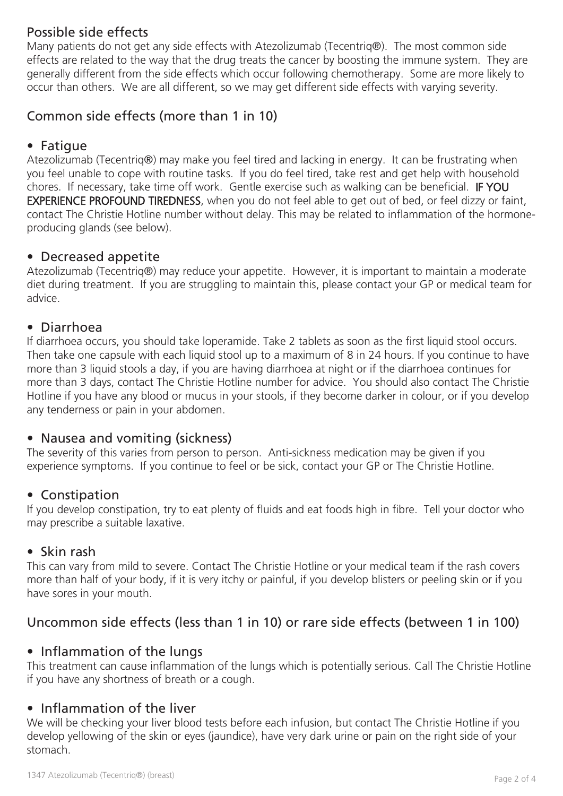## Possible side effects

Many patients do not get any side effects with Atezolizumab (Tecentriq®). The most common side effects are related to the way that the drug treats the cancer by boosting the immune system. They are generally different from the side effects which occur following chemotherapy. Some are more likely to occur than others. We are all different, so we may get different side effects with varying severity.

# Common side effects (more than 1 in 10)

#### • Fatigue

Atezolizumab (Tecentriq®) may make you feel tired and lacking in energy. It can be frustrating when you feel unable to cope with routine tasks. If you do feel tired, take rest and get help with household chores. If necessary, take time off work. Gentle exercise such as walking can be beneficial. IF YOU EXPERIENCE PROFOUND TIREDNESS, when you do not feel able to get out of bed, or feel dizzy or faint, contact The Christie Hotline number without delay. This may be related to inflammation of the hormoneproducing glands (see below).

#### • Decreased appetite

Atezolizumab (Tecentriq®) may reduce your appetite. However, it is important to maintain a moderate diet during treatment. If you are struggling to maintain this, please contact your GP or medical team for advice.

#### • Diarrhoea

If diarrhoea occurs, you should take loperamide. Take 2 tablets as soon as the first liquid stool occurs. Then take one capsule with each liquid stool up to a maximum of 8 in 24 hours. If you continue to have more than 3 liquid stools a day, if you are having diarrhoea at night or if the diarrhoea continues for more than 3 days, contact The Christie Hotline number for advice. You should also contact The Christie Hotline if you have any blood or mucus in your stools, if they become darker in colour, or if you develop any tenderness or pain in your abdomen.

#### • Nausea and vomiting (sickness)

The severity of this varies from person to person. Anti-sickness medication may be given if you experience symptoms. If you continue to feel or be sick, contact your GP or The Christie Hotline.

#### • Constipation

If you develop constipation, try to eat plenty of fluids and eat foods high in fibre. Tell your doctor who may prescribe a suitable laxative.

#### • Skin rash

This can vary from mild to severe. Contact The Christie Hotline or your medical team if the rash covers more than half of your body, if it is very itchy or painful, if you develop blisters or peeling skin or if you have sores in your mouth.

## Uncommon side effects (less than 1 in 10) or rare side effects (between 1 in 100)

#### • Inflammation of the lungs

This treatment can cause inflammation of the lungs which is potentially serious. Call The Christie Hotline if you have any shortness of breath or a cough.

### • Inflammation of the liver

We will be checking your liver blood tests before each infusion, but contact The Christie Hotline if you develop yellowing of the skin or eyes (jaundice), have very dark urine or pain on the right side of your stomach.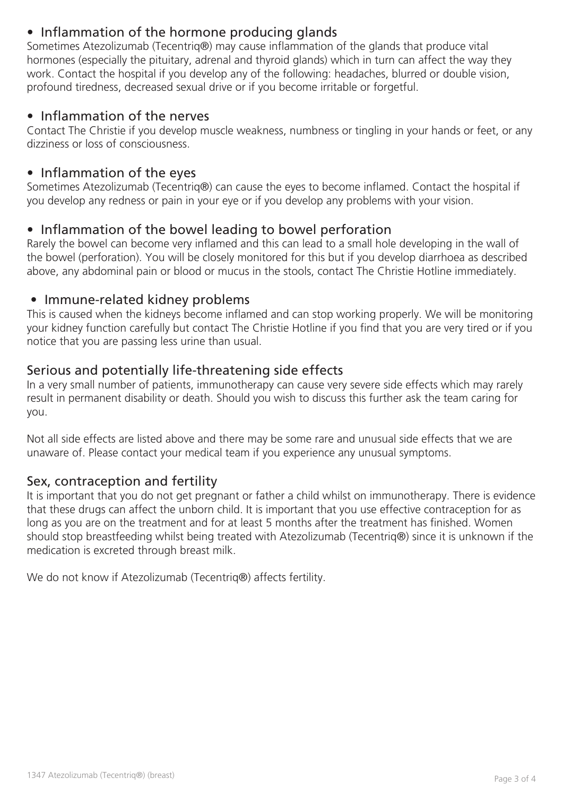# • Inflammation of the hormone producing glands

Sometimes Atezolizumab (Tecentriq®) may cause inflammation of the glands that produce vital hormones (especially the pituitary, adrenal and thyroid glands) which in turn can affect the way they work. Contact the hospital if you develop any of the following: headaches, blurred or double vision, profound tiredness, decreased sexual drive or if you become irritable or forgetful.

#### • Inflammation of the nerves

Contact The Christie if you develop muscle weakness, numbness or tingling in your hands or feet, or any dizziness or loss of consciousness.

### • Inflammation of the eyes

Sometimes Atezolizumab (Tecentriq®) can cause the eyes to become inflamed. Contact the hospital if you develop any redness or pain in your eye or if you develop any problems with your vision.

## • Inflammation of the bowel leading to bowel perforation

Rarely the bowel can become very inflamed and this can lead to a small hole developing in the wall of the bowel (perforation). You will be closely monitored for this but if you develop diarrhoea as described above, any abdominal pain or blood or mucus in the stools, contact The Christie Hotline immediately.

#### • Immune-related kidney problems

This is caused when the kidneys become inflamed and can stop working properly. We will be monitoring your kidney function carefully but contact The Christie Hotline if you find that you are very tired or if you notice that you are passing less urine than usual.

## Serious and potentially life-threatening side effects

In a very small number of patients, immunotherapy can cause very severe side effects which may rarely result in permanent disability or death. Should you wish to discuss this further ask the team caring for you.

Not all side effects are listed above and there may be some rare and unusual side effects that we are unaware of. Please contact your medical team if you experience any unusual symptoms.

#### Sex, contraception and fertility

It is important that you do not get pregnant or father a child whilst on immunotherapy. There is evidence that these drugs can affect the unborn child. It is important that you use effective contraception for as long as you are on the treatment and for at least 5 months after the treatment has finished. Women should stop breastfeeding whilst being treated with Atezolizumab (Tecentriq®) since it is unknown if the medication is excreted through breast milk.

We do not know if Atezolizumab (Tecentriq®) affects fertility.